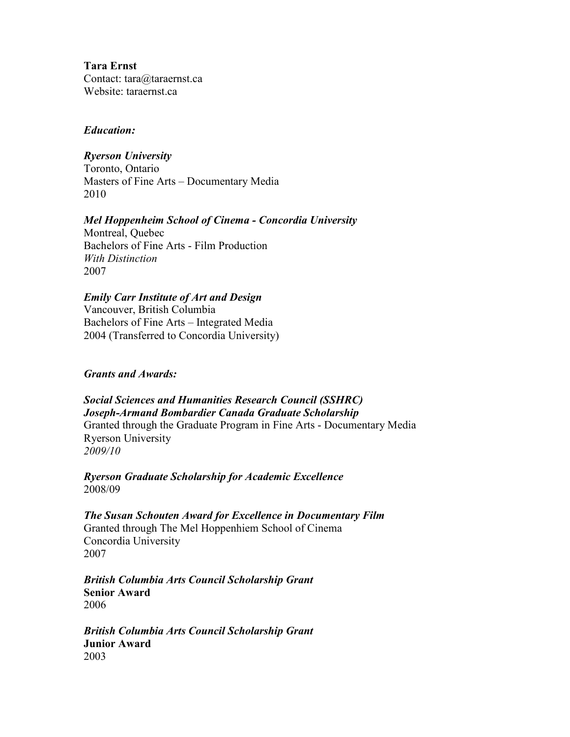**Tara Ernst**  Contact: tara@taraernst.ca Website: taraernst.ca

#### *Education:*

### *Ryerson University*

Toronto, Ontario Masters of Fine Arts – Documentary Media 2010

#### *Mel Hoppenheim School of Cinema - Concordia University*

Montreal, Quebec Bachelors of Fine Arts - Film Production *With Distinction*  2007

# *Emily Carr Institute of Art and Design*

Vancouver, British Columbia Bachelors of Fine Arts – Integrated Media 2004 (Transferred to Concordia University)

### *Grants and Awards:*

*Social Sciences and Humanities Research Council (SSHRC) Joseph-Armand Bombardier Canada Graduate Scholarship*  Granted through the Graduate Program in Fine Arts - Documentary Media Ryerson University *2009/10* 

*Ryerson Graduate Scholarship for Academic Excellence*  2008/09

*The Susan Schouten Award for Excellence in Documentary Film* Granted through The Mel Hoppenhiem School of Cinema Concordia University 2007

*British Columbia Arts Council Scholarship Grant*  **Senior Award**  2006

*British Columbia Arts Council Scholarship Grant*  **Junior Award**  2003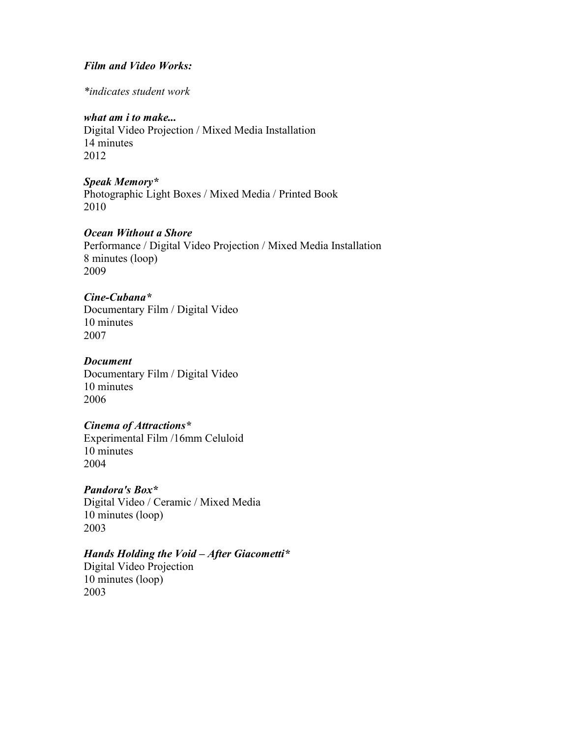#### *Film and Video Works:*

*\*indicates student work* 

#### *what am i to make...*

Digital Video Projection / Mixed Media Installation 14 minutes 2012

#### *Speak Memory\**

Photographic Light Boxes / Mixed Media / Printed Book 2010

#### *Ocean Without a Shore*

Performance / Digital Video Projection / Mixed Media Installation 8 minutes (loop) 2009

#### *Cine-Cubana\**

Documentary Film / Digital Video 10 minutes 2007

#### *Document*

Documentary Film / Digital Video 10 minutes 2006

#### *Cinema of Attractions\**

Experimental Film /16mm Celuloid 10 minutes 2004

#### *Pandora's Box\**

Digital Video / Ceramic / Mixed Media 10 minutes (loop) 2003

#### *Hands Holding the Void – After Giacometti\**

Digital Video Projection 10 minutes (loop) 2003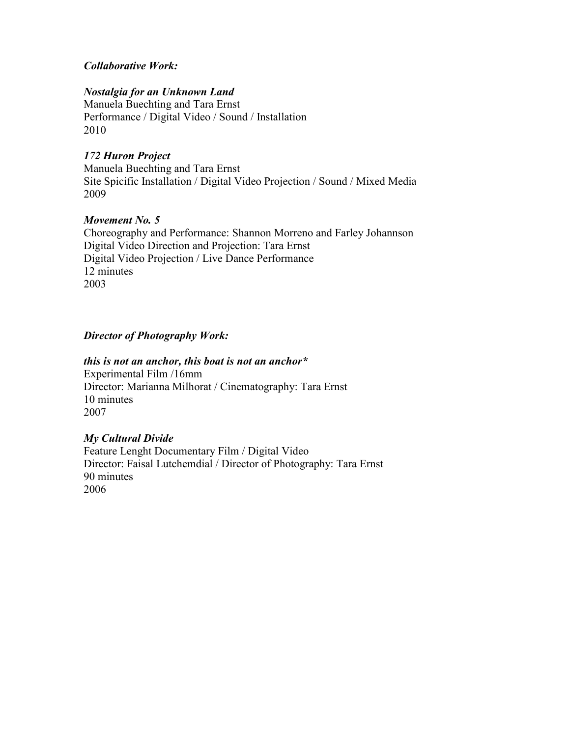# *Collaborative Work:*

# **Nostalgia for an Unknown Land**

Manuela Buechting and Tara Ernst Performance / Digital Video / Sound / Installation 2010

# *172 Huron Project*

Manuela Buechting and Tara Ernst Site Spicific Installation / Digital Video Projection / Sound / Mixed Media 2009

### *Movement No.* 5

Choreography and Performance: Shannon Morreno and Farley Johannson Digital Video Direction and Projection: Tara Ernst Digital Video Projection / Live Dance Performance 12 minutes 2003

# *Director of Photography Work:*

#### *this is not an anchor, this boat is not an anchor\**

Experimental Film /16mm Director: Marianna Milhorat / Cinematography: Tara Ernst 10 minutes 2007

#### *My Cultural Divide*

Feature Lenght Documentary Film / Digital Video Director: Faisal Lutchemdial / Director of Photography: Tara Ernst 90 minutes 2006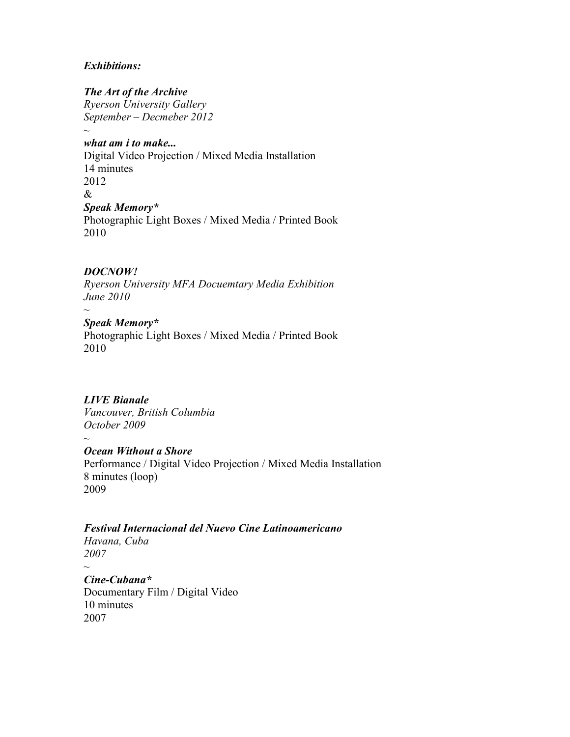### *Exhibitions:*

*The Art of the Archive Ryerson University Gallery September – Decmeber 2012 ~* 

*what am i to make...*  Digital Video Projection / Mixed Media Installation 14 minutes 2012 & *Speak Memory\**  Photographic Light Boxes / Mixed Media / Printed Book 2010

# *DOC4OW!*

*Ryerson University MFA Docuemtary Media Exhibition June 2010* 

*~ Speak Memory\** 

Photographic Light Boxes / Mixed Media / Printed Book 2010

# *LIVE Bianale*

*~* 

*~* 

*Vancouver, British Columbia October 2009* 

*Ocean Without a Shore* 

Performance / Digital Video Projection / Mixed Media Installation 8 minutes (loop) 2009

# *Festival Internacional del 4uevo Cine Latinoamericano*

*Havana, Cuba 2007* 

*Cine-Cubana\** Documentary Film / Digital Video 10 minutes 2007